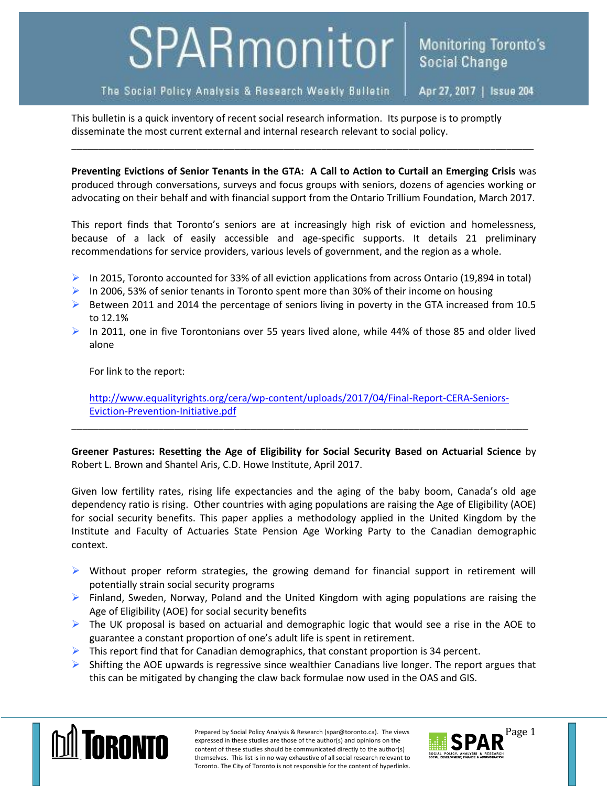## SPARmonitor

## The Social Policy Analysis & Research Weekly Bulletin

Apr 27, 2017 | Issue 204

This bulletin is a quick inventory of recent social research information. Its purpose is to promptly disseminate the most current external and internal research relevant to social policy.

**Preventing Evictions of Senior Tenants in the GTA: A Call to Action to Curtail an Emerging Crisis** was produced through conversations, surveys and focus groups with seniors, dozens of agencies working or advocating on their behalf and with financial support from the Ontario Trillium Foundation, March 2017.

\_\_\_\_\_\_\_\_\_\_\_\_\_\_\_\_\_\_\_\_\_\_\_\_\_\_\_\_\_\_\_\_\_\_\_\_\_\_\_\_\_\_\_\_\_\_\_\_\_\_\_\_\_\_\_\_\_\_\_\_\_\_\_\_\_\_\_\_\_\_\_\_\_\_\_\_\_\_\_\_\_\_\_\_\_

This report finds that Toronto's seniors are at increasingly high risk of eviction and homelessness, because of a lack of easily accessible and age-specific supports. It details 21 preliminary recommendations for service providers, various levels of government, and the region as a whole.

- In 2015, Toronto accounted for 33% of all eviction applications from across Ontario (19,894 in total)
- In 2006, 53% of senior tenants in Toronto spent more than 30% of their income on housing
- $\triangleright$  Between 2011 and 2014 the percentage of seniors living in poverty in the GTA increased from 10.5 to 12.1%
- In 2011, one in five Torontonians over 55 years lived alone, while 44% of those 85 and older lived alone

For link to the report:

[http://www.equalityrights.org/cera/wp-content/uploads/2017/04/Final-Report-CERA-Seniors-](http://www.equalityrights.org/cera/wp-content/uploads/2017/04/Final-Report-CERA-Seniors-Eviction-Prevention-Initiative.pdf)[Eviction-Prevention-Initiative.pdf](http://www.equalityrights.org/cera/wp-content/uploads/2017/04/Final-Report-CERA-Seniors-Eviction-Prevention-Initiative.pdf)

\_\_\_\_\_\_\_\_\_\_\_\_\_\_\_\_\_\_\_\_\_\_\_\_\_\_\_\_\_\_\_\_\_\_\_\_\_\_\_\_\_\_\_\_\_\_\_\_\_\_\_\_\_\_\_\_\_\_\_\_\_\_\_\_\_\_\_\_\_\_\_\_\_\_\_\_\_\_\_\_\_\_\_\_

**Greener Pastures: Resetting the Age of Eligibility for Social Security Based on Actuarial Science** by Robert L. Brown and Shantel Aris, C.D. Howe Institute, April 2017.

Given low fertility rates, rising life expectancies and the aging of the baby boom, Canada's old age dependency ratio is rising. Other countries with aging populations are raising the Age of Eligibility (AOE) for social security benefits. This paper applies a methodology applied in the United Kingdom by the Institute and Faculty of Actuaries State Pension Age Working Party to the Canadian demographic context.

- $\triangleright$  Without proper reform strategies, the growing demand for financial support in retirement will potentially strain social security programs
- $\triangleright$  Finland, Sweden, Norway, Poland and the United Kingdom with aging populations are raising the Age of Eligibility (AOE) for social security benefits
- $\triangleright$  The UK proposal is based on actuarial and demographic logic that would see a rise in the AOE to guarantee a constant proportion of one's adult life is spent in retirement.
- $\triangleright$  This report find that for Canadian demographics, that constant proportion is 34 percent.
- $\triangleright$  Shifting the AOE upwards is regressive since wealthier Canadians live longer. The report argues that this can be mitigated by changing the claw back formulae now used in the OAS and GIS.



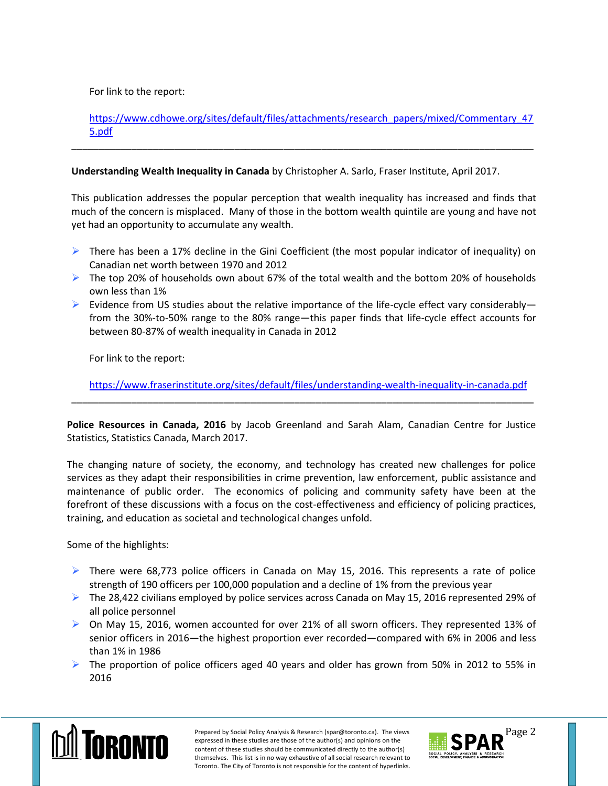For link to the report:

[https://www.cdhowe.org/sites/default/files/attachments/research\\_papers/mixed/Commentary\\_47](https://www.cdhowe.org/sites/default/files/attachments/research_papers/mixed/Commentary_475.pdf) [5.pdf](https://www.cdhowe.org/sites/default/files/attachments/research_papers/mixed/Commentary_475.pdf)

\_\_\_\_\_\_\_\_\_\_\_\_\_\_\_\_\_\_\_\_\_\_\_\_\_\_\_\_\_\_\_\_\_\_\_\_\_\_\_\_\_\_\_\_\_\_\_\_\_\_\_\_\_\_\_\_\_\_\_\_\_\_\_\_\_\_\_\_\_\_\_\_\_\_\_\_\_\_\_\_\_\_\_\_\_

## **Understanding Wealth Inequality in Canada** by Christopher A. Sarlo, Fraser Institute, April 2017.

This publication addresses the popular perception that wealth inequality has increased and finds that much of the concern is misplaced. Many of those in the bottom wealth quintile are young and have not yet had an opportunity to accumulate any wealth.

- $\triangleright$  There has been a 17% decline in the Gini Coefficient (the most popular indicator of inequality) on Canadian net worth between 1970 and 2012
- $\triangleright$  The top 20% of households own about 67% of the total wealth and the bottom 20% of households own less than 1%
- Evidence from US studies about the relative importance of the life-cycle effect vary considerably from the 30%-to-50% range to the 80% range—this paper finds that life-cycle effect accounts for between 80-87% of wealth inequality in Canada in 2012

For link to the report:

<https://www.fraserinstitute.org/sites/default/files/understanding-wealth-inequality-in-canada.pdf>

**Police Resources in Canada, 2016** by Jacob Greenland and Sarah Alam, Canadian Centre for Justice Statistics, Statistics Canada, March 2017.

\_\_\_\_\_\_\_\_\_\_\_\_\_\_\_\_\_\_\_\_\_\_\_\_\_\_\_\_\_\_\_\_\_\_\_\_\_\_\_\_\_\_\_\_\_\_\_\_\_\_\_\_\_\_\_\_\_\_\_\_\_\_\_\_\_\_\_\_\_\_\_\_\_\_\_\_\_\_\_\_\_\_\_\_\_

The changing nature of society, the economy, and technology has created new challenges for police services as they adapt their responsibilities in crime prevention, law enforcement, public assistance and maintenance of public order. The economics of policing and community safety have been at the forefront of these discussions with a focus on the cost-effectiveness and efficiency of policing practices, training, and education as societal and technological changes unfold.

Some of the highlights:

- $\triangleright$  There were 68,773 police officers in Canada on May 15, 2016. This represents a rate of police strength of 190 officers per 100,000 population and a decline of 1% from the previous year
- $\triangleright$  The 28,422 civilians employed by police services across Canada on May 15, 2016 represented 29% of all police personnel
- $\triangleright$  On May 15, 2016, women accounted for over 21% of all sworn officers. They represented 13% of senior officers in 2016—the highest proportion ever recorded—compared with 6% in 2006 and less than 1% in 1986
- $\triangleright$  The proportion of police officers aged 40 years and older has grown from 50% in 2012 to 55% in 2016